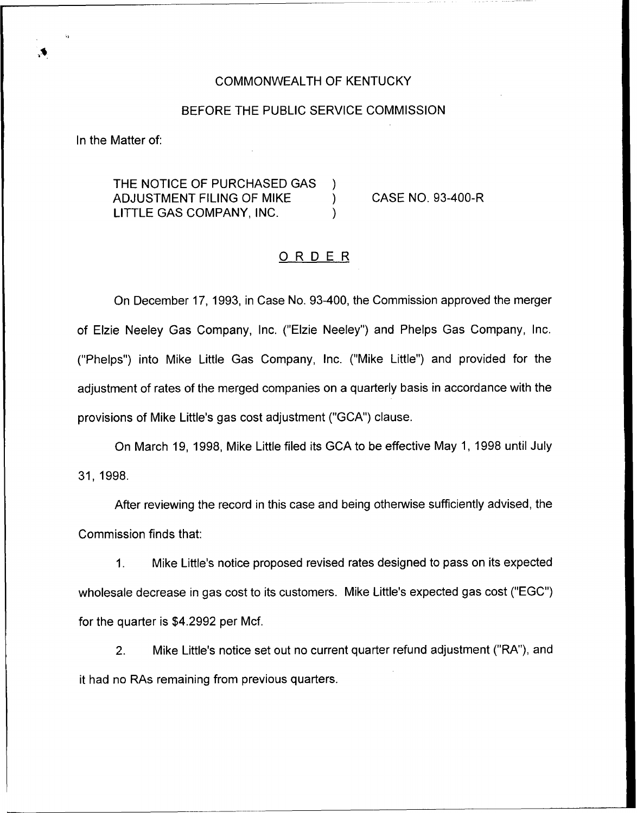#### COMMONWEALTH OF KENTUCKY

#### BEFORE THE PUBLIC SERVICE COMMISSION

In the Matter of:

THE NOTICE OF PURCHASED GAS )<br>ADJUSTMENT FILING OF MIKE ADJUSTMENT FILING OF MIKE ) LITTLE GAS COMPANY, INC. )

CASE NO. 93-400-R

### ORDER

On December 17, 1993, in Case No. 93-400, the Commission approved the merger of Elzie Neeley Gas Company, Inc. ("Elzie Neeley") and Phelps Gas Company, Inc. ("Phelps") into Mike Little Gas Company, Inc. ("Mike Little") and provided for the adjustment of rates of the merged companies on a quarterly basis in accordance with the provisions of Mike Little's gas cost adjustment ("GCA") clause.

On March 19, 1998, Mike Little filed its GCA to be effective May 1, 1998 until July 31, 1998.

After reviewing the record in this case and being otherwise sufficiently advised, the Commission finds that:

 $1<sub>1</sub>$ Mike Little's notice proposed revised rates designed to pass on its expected wholesale decrease in gas cost to its customers. Mike Little's expected gas cost ("EGC") for the quarter is \$4.2992 per Mcf.

2. Mike Little's notice set out no current quarter refund adjustment ("RA"), and it had no RAs remaining from previous quarters.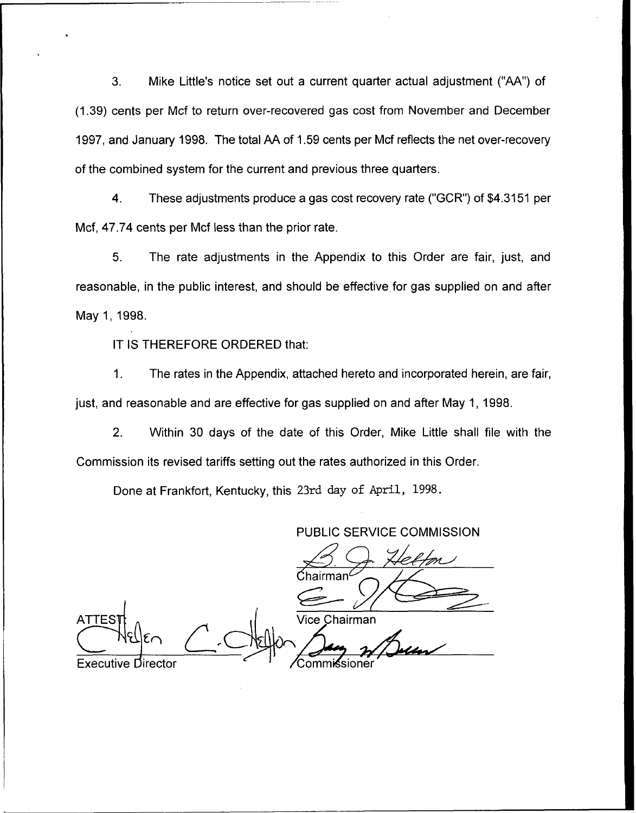3. Mike Little's notice set out a current quarter actual adjustment ("AA") of (1.39) cents per Mcf to return over-recovered gas cost from November and December 1997, and January 1998. The total AA of 1.59 cents per Mcf reflects the net over-recovery of the combined system for the current and previous three quarters.

4. These adjustments produce a gas cost recovery rate ("GCR") of \$4.3151 per Mcf, 47.74 cents per Mcf less than the prior rate.

5. The rate adjustments in the Appendix to this Order are fair, just, and reasonable, in the public interest, and should be effective for gas supplied on and after May 1, 1998.

IT IS THEREFORE ORDERED that:

1. The rates in the Appendix, attached hereto and incorporated herein, are fair, just, and reasonable and are effective for gas supplied on and after May 1, 1998.

2. Within 30 days of the date of this Order, Mike Little shall file with the Commission its revised tariffs setting out the rates authorized in this Order.

Done at Frankfort, Kentucky, this 23rd day of April, 1998.

PUBLIC SERVICE COMMISSION

 $\mathsf{Chairman}^{\mathcal{L}}$ Vice Chairman **ATTES** Executive Director